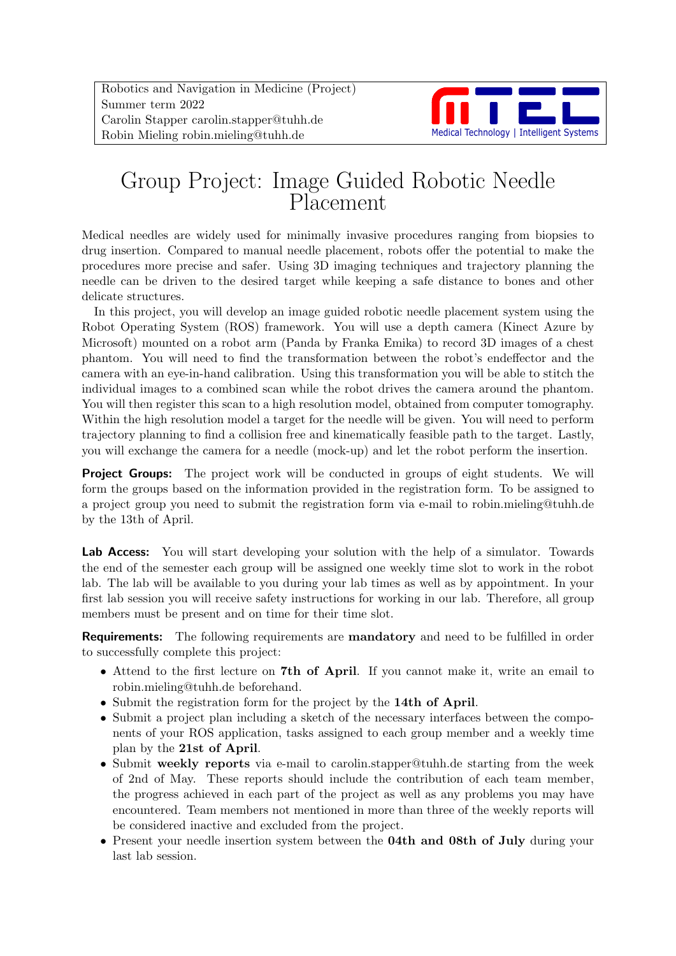Robotics and Navigation in Medicine (Project) Summer term 2022 Carolin Stapper carolin.stapper@tuhh.de Robin Mieling robin.mieling@tuhh.de



# Group Project: Image Guided Robotic Needle Placement

Medical needles are widely used for minimally invasive procedures ranging from biopsies to drug insertion. Compared to manual needle placement, robots offer the potential to make the procedures more precise and safer. Using 3D imaging techniques and trajectory planning the needle can be driven to the desired target while keeping a safe distance to bones and other delicate structures.

In this project, you will develop an image guided robotic needle placement system using the Robot Operating System (ROS) framework. You will use a depth camera (Kinect Azure by Microsoft) mounted on a robot arm (Panda by Franka Emika) to record 3D images of a chest phantom. You will need to find the transformation between the robot's endeffector and the camera with an eye-in-hand calibration. Using this transformation you will be able to stitch the individual images to a combined scan while the robot drives the camera around the phantom. You will then register this scan to a high resolution model, obtained from computer tomography. Within the high resolution model a target for the needle will be given. You will need to perform trajectory planning to find a collision free and kinematically feasible path to the target. Lastly, you will exchange the camera for a needle (mock-up) and let the robot perform the insertion.

**Project Groups:** The project work will be conducted in groups of eight students. We will form the groups based on the information provided in the registration form. To be assigned to a project group you need to submit the registration form via e-mail to robin.mieling@tuhh.de by the 13th of April.

Lab Access: You will start developing your solution with the help of a simulator. Towards the end of the semester each group will be assigned one weekly time slot to work in the robot lab. The lab will be available to you during your lab times as well as by appointment. In your first lab session you will receive safety instructions for working in our lab. Therefore, all group members must be present and on time for their time slot.

**Requirements:** The following requirements are **mandatory** and need to be fulfilled in order to successfully complete this project:

- Attend to the first lecture on 7th of April. If you cannot make it, write an email to robin.mieling@tuhh.de beforehand.
- Submit the registration form for the project by the 14th of April.
- Submit a project plan including a sketch of the necessary interfaces between the components of your ROS application, tasks assigned to each group member and a weekly time plan by the 21st of April.
- Submit weekly reports via e-mail to carolin.stapper@tuhh.de starting from the week of 2nd of May. These reports should include the contribution of each team member, the progress achieved in each part of the project as well as any problems you may have encountered. Team members not mentioned in more than three of the weekly reports will be considered inactive and excluded from the project.
- Present your needle insertion system between the **04th and 08th of July** during your last lab session.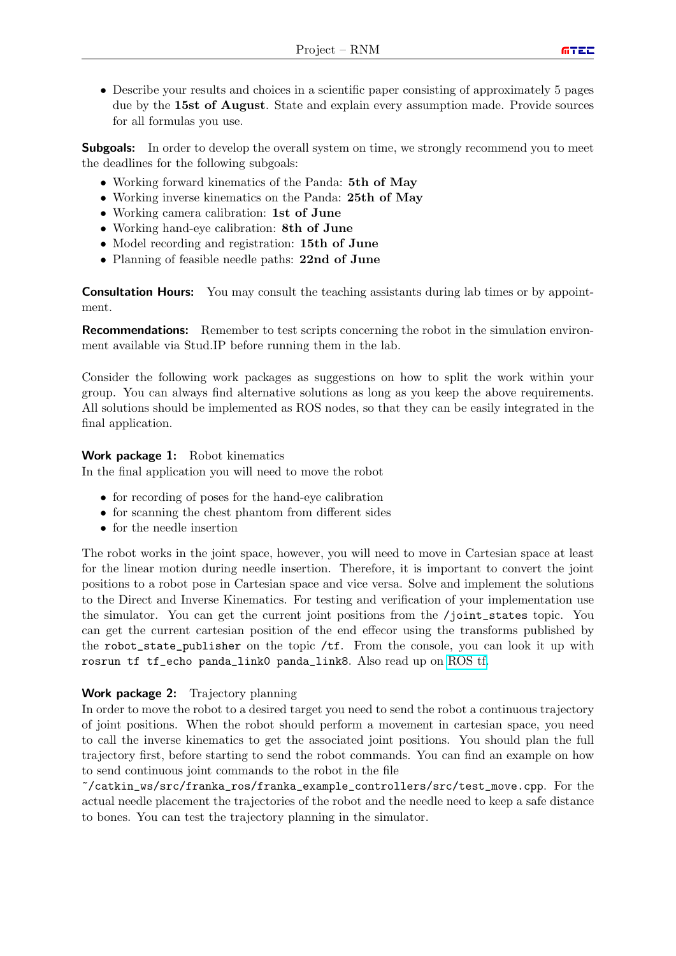• Describe your results and choices in a scientific paper consisting of approximately 5 pages due by the 15st of August. State and explain every assumption made. Provide sources for all formulas you use.

**Subgoals:** In order to develop the overall system on time, we strongly recommend you to meet the deadlines for the following subgoals:

- Working forward kinematics of the Panda: 5th of May
- Working inverse kinematics on the Panda: 25th of May
- Working camera calibration: 1st of June
- Working hand-eye calibration: 8th of June
- Model recording and registration: 15th of June
- Planning of feasible needle paths: 22nd of June

**Consultation Hours:** You may consult the teaching assistants during lab times or by appointment.

Recommendations: Remember to test scripts concerning the robot in the simulation environment available via Stud.IP before running them in the lab.

Consider the following work packages as suggestions on how to split the work within your group. You can always find alternative solutions as long as you keep the above requirements. All solutions should be implemented as ROS nodes, so that they can be easily integrated in the final application.

#### Work package 1: Robot kinematics

In the final application you will need to move the robot

- for recording of poses for the hand-eye calibration
- for scanning the chest phantom from different sides
- for the needle insertion

The robot works in the joint space, however, you will need to move in Cartesian space at least for the linear motion during needle insertion. Therefore, it is important to convert the joint positions to a robot pose in Cartesian space and vice versa. Solve and implement the solutions to the Direct and Inverse Kinematics. For testing and verification of your implementation use the simulator. You can get the current joint positions from the /joint\_states topic. You can get the current cartesian position of the end effecor using the transforms published by the robot\_state\_publisher on the topic /tf. From the console, you can look it up with rosrun tf tf\_echo panda\_link0 panda\_link8. Also read up on [ROS tf.](http://wiki.ros.org/tf)

#### Work package 2: Trajectory planning

In order to move the robot to a desired target you need to send the robot a continuous trajectory of joint positions. When the robot should perform a movement in cartesian space, you need to call the inverse kinematics to get the associated joint positions. You should plan the full trajectory first, before starting to send the robot commands. You can find an example on how to send continuous joint commands to the robot in the file

~/catkin\_ws/src/franka\_ros/franka\_example\_controllers/src/test\_move.cpp. For the actual needle placement the trajectories of the robot and the needle need to keep a safe distance to bones. You can test the trajectory planning in the simulator.